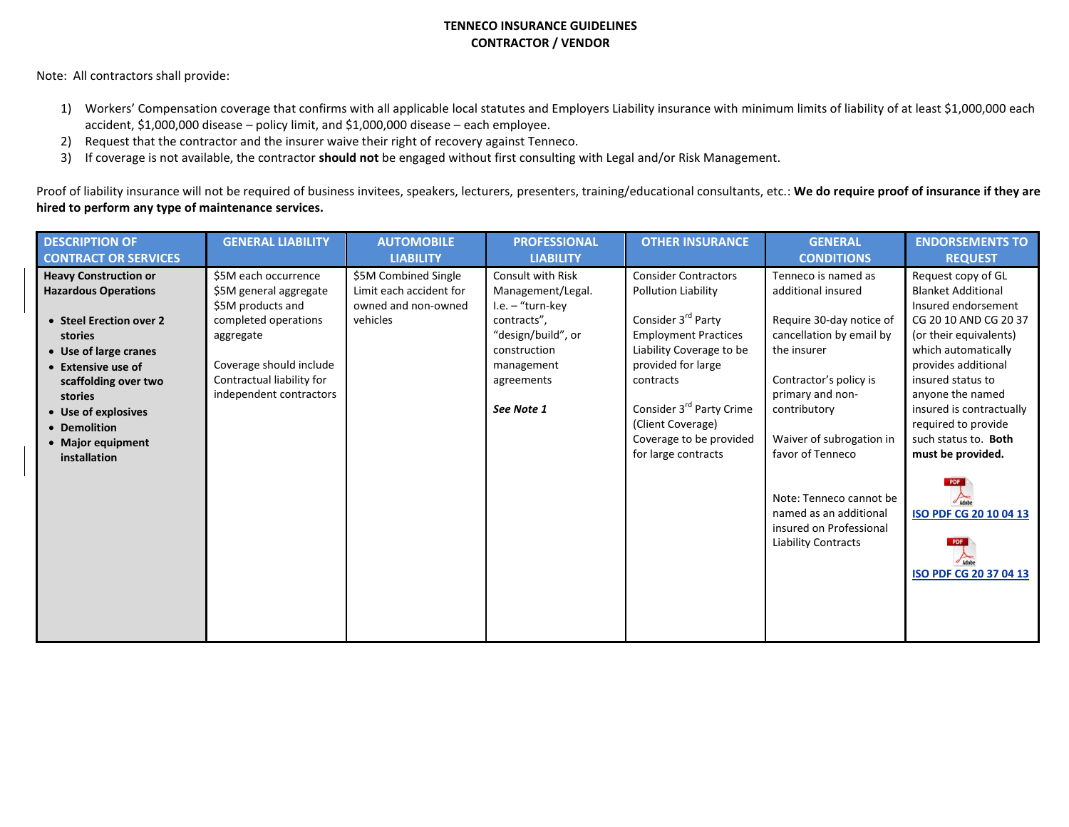## **TENNECO INSURANCE GUIDELINES CONTRACTOR / VENDOR**

Note: All contractors shall provide:

- 1) Workers' Compensation coverage that confirms with all applicable local statutes and Employers Liability insurance with minimum limits of liability of at least \$1,000,000 each accident, \$1,000,000 disease – policy limit, and \$1,000,000 disease – each employee.
- 2) Request that the contractor and the insurer waive their right of recovery against Tenneco.
- 3) If coverage is not available, the contractor **should not** be engaged without first consulting with Legal and/or Risk Management.

Proof of liability insurance will not be required of business invitees, speakers, lecturers, presenters, training/educational consultants, etc.: We do require proof of insurance if they are **hired to perform any type of maintenance services.**

| <b>DESCRIPTION OF</b>        | <b>GENERAL LIABILITY</b>  | <b>AUTOMOBILE</b>       | <b>PROFESSIONAL</b> | <b>OTHER INSURANCE</b>               | <b>GENERAL</b>                                                                                             | <b>ENDORSEMENTS TO</b>                           |
|------------------------------|---------------------------|-------------------------|---------------------|--------------------------------------|------------------------------------------------------------------------------------------------------------|--------------------------------------------------|
| <b>CONTRACT OR SERVICES</b>  |                           | <b>LIABILITY</b>        | <b>LIABILITY</b>    |                                      | <b>CONDITIONS</b>                                                                                          | <b>REQUEST</b>                                   |
| <b>Heavy Construction or</b> | \$5M each occurrence      | \$5M Combined Single    | Consult with Risk   | <b>Consider Contractors</b>          | Tenneco is named as                                                                                        | Request copy of GL                               |
| <b>Hazardous Operations</b>  | \$5M general aggregate    | Limit each accident for | Management/Legal.   | Pollution Liability                  | additional insured                                                                                         | <b>Blanket Additional</b>                        |
|                              | \$5M products and         | owned and non-owned     | I.e. - "turn-key    |                                      |                                                                                                            | Insured endorsement                              |
| • Steel Erection over 2      | completed operations      | vehicles                | contracts",         | Consider 3 <sup>rd</sup> Party       | Require 30-day notice of                                                                                   | CG 20 10 AND CG 20 37                            |
| stories                      | aggregate                 |                         | "design/build", or  | <b>Employment Practices</b>          | cancellation by email by                                                                                   | (or their equivalents)                           |
| • Use of large cranes        |                           |                         | construction        | Liability Coverage to be             | the insurer                                                                                                | which automatically                              |
| • Extensive use of           | Coverage should include   |                         | management          | provided for large                   |                                                                                                            | provides additional                              |
| scaffolding over two         | Contractual liability for |                         | agreements          | contracts                            | Contractor's policy is                                                                                     | insured status to                                |
| stories                      | independent contractors   |                         |                     |                                      | primary and non-                                                                                           | anyone the named                                 |
| • Use of explosives          |                           |                         | See Note 1          | Consider 3 <sup>rd</sup> Party Crime | contributory                                                                                               | insured is contractually                         |
| • Demolition                 |                           |                         |                     | (Client Coverage)                    |                                                                                                            | required to provide                              |
| • Major equipment            |                           |                         |                     | Coverage to be provided              | Waiver of subrogation in                                                                                   | such status to. Both                             |
| installation                 |                           |                         |                     | for large contracts                  | favor of Tenneco                                                                                           | must be provided.                                |
|                              |                           |                         |                     |                                      | Note: Tenneco cannot be<br>named as an additional<br>insured on Professional<br><b>Liability Contracts</b> | ISO PDF CG 20 10 04 13<br>ISO PDF CG 20 37 04 13 |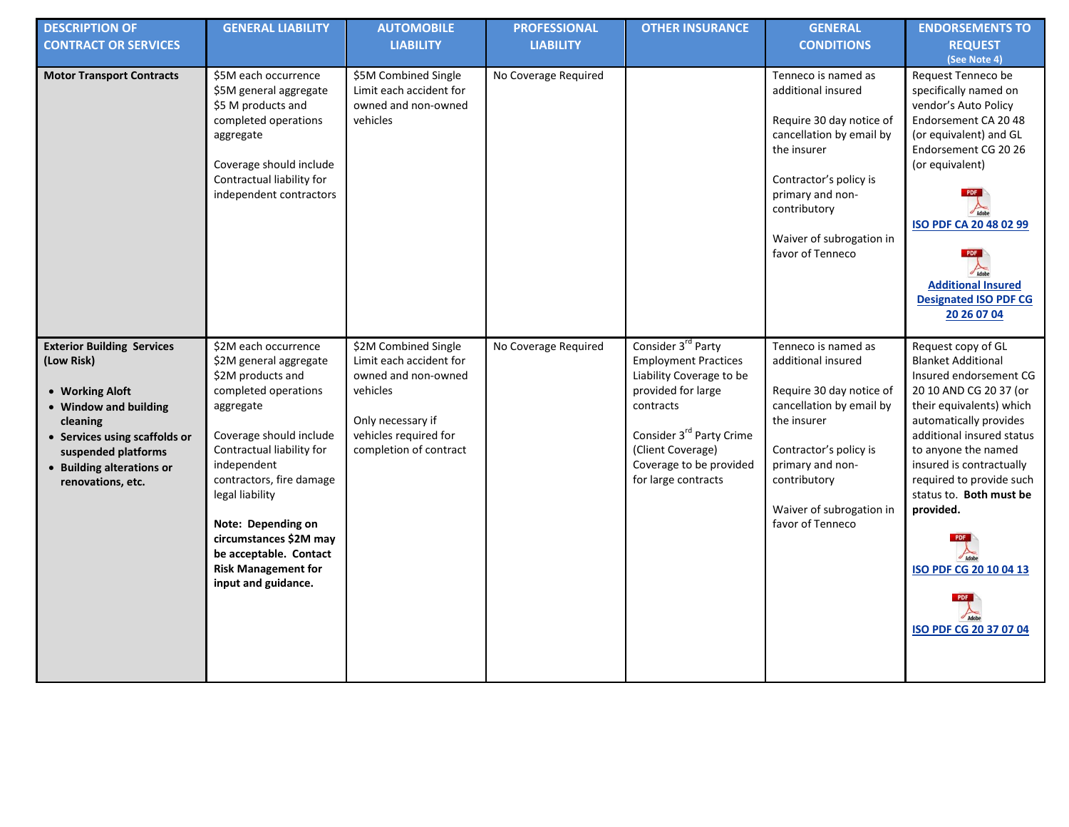| <b>DESCRIPTION OF</b><br><b>CONTRACT OR SERVICES</b>                                                                                                                                                              | <b>GENERAL LIABILITY</b>                                                                                                                                                                                                                                                                                                                                      | <b>AUTOMOBILE</b><br><b>LIABILITY</b>                                                                                                                      | <b>PROFESSIONAL</b><br><b>LIABILITY</b> | <b>OTHER INSURANCE</b>                                                                                                                                                                                                                      | <b>GENERAL</b><br><b>CONDITIONS</b>                                                                                                                                                                                            | <b>ENDORSEMENTS TO</b><br><b>REQUEST</b><br>(See Note 4)                                                                                                                                                                                                                                                                                                          |
|-------------------------------------------------------------------------------------------------------------------------------------------------------------------------------------------------------------------|---------------------------------------------------------------------------------------------------------------------------------------------------------------------------------------------------------------------------------------------------------------------------------------------------------------------------------------------------------------|------------------------------------------------------------------------------------------------------------------------------------------------------------|-----------------------------------------|---------------------------------------------------------------------------------------------------------------------------------------------------------------------------------------------------------------------------------------------|--------------------------------------------------------------------------------------------------------------------------------------------------------------------------------------------------------------------------------|-------------------------------------------------------------------------------------------------------------------------------------------------------------------------------------------------------------------------------------------------------------------------------------------------------------------------------------------------------------------|
| <b>Motor Transport Contracts</b>                                                                                                                                                                                  | \$5M each occurrence<br>\$5M general aggregate<br>\$5 M products and<br>completed operations<br>aggregate<br>Coverage should include<br>Contractual liability for<br>independent contractors                                                                                                                                                                  | \$5M Combined Single<br>Limit each accident for<br>owned and non-owned<br>vehicles                                                                         | No Coverage Required                    |                                                                                                                                                                                                                                             | Tenneco is named as<br>additional insured<br>Require 30 day notice of<br>cancellation by email by<br>the insurer<br>Contractor's policy is<br>primary and non-<br>contributory<br>Waiver of subrogation in<br>favor of Tenneco | Request Tenneco be<br>specifically named on<br>vendor's Auto Policy<br>Endorsement CA 2048<br>(or equivalent) and GL<br>Endorsement CG 20 26<br>(or equivalent)<br>ISO PDF CA 20 48 02 99<br><b>Additional Insured</b><br><b>Designated ISO PDF CG</b><br>20 26 07 04                                                                                             |
| <b>Exterior Building Services</b><br>(Low Risk)<br>• Working Aloft<br>• Window and building<br>cleaning<br>• Services using scaffolds or<br>suspended platforms<br>• Building alterations or<br>renovations, etc. | \$2M each occurrence<br>\$2M general aggregate<br>\$2M products and<br>completed operations<br>aggregate<br>Coverage should include<br>Contractual liability for<br>independent<br>contractors, fire damage<br>legal liability<br>Note: Depending on<br>circumstances \$2M may<br>be acceptable. Contact<br><b>Risk Management for</b><br>input and guidance. | \$2M Combined Single<br>Limit each accident for<br>owned and non-owned<br>vehicles<br>Only necessary if<br>vehicles required for<br>completion of contract | No Coverage Required                    | Consider 3 <sup>rd</sup> Party<br><b>Employment Practices</b><br>Liability Coverage to be<br>provided for large<br>contracts<br>Consider 3 <sup>rd</sup> Party Crime<br>(Client Coverage)<br>Coverage to be provided<br>for large contracts | Tenneco is named as<br>additional insured<br>Require 30 day notice of<br>cancellation by email by<br>the insurer<br>Contractor's policy is<br>primary and non-<br>contributory<br>Waiver of subrogation in<br>favor of Tenneco | Request copy of GL<br><b>Blanket Additional</b><br>Insured endorsement CG<br>20 10 AND CG 20 37 (or<br>their equivalents) which<br>automatically provides<br>additional insured status<br>to anyone the named<br>insured is contractually<br>required to provide such<br>status to. Both must be<br>provided.<br>ISO PDF CG 20 10 04 13<br>ISO PDF CG 20 37 07 04 |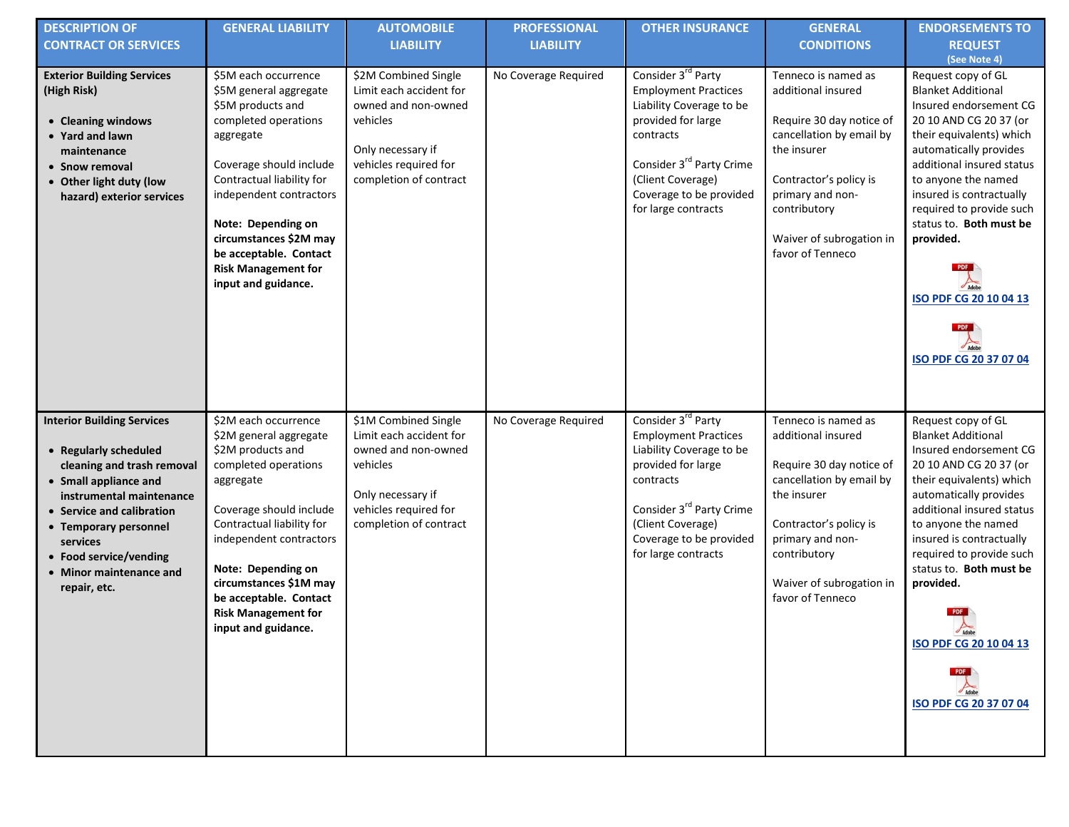| <b>DESCRIPTION OF</b><br><b>CONTRACT OR SERVICES</b>                                                                                                                                                                                                                                 | <b>GENERAL LIABILITY</b>                                                                                                                                                                                                                                                                                                   | <b>AUTOMOBILE</b><br><b>LIABILITY</b>                                                                                                                      | <b>PROFESSIONAL</b><br><b>LIABILITY</b> | <b>OTHER INSURANCE</b>                                                                                                                                                                                                                      | <b>GENERAL</b><br><b>CONDITIONS</b>                                                                                                                                                                                            | <b>ENDORSEMENTS TO</b><br><b>REQUEST</b><br>(See Note 4)                                                                                                                                                                                                                                                                                                                          |
|--------------------------------------------------------------------------------------------------------------------------------------------------------------------------------------------------------------------------------------------------------------------------------------|----------------------------------------------------------------------------------------------------------------------------------------------------------------------------------------------------------------------------------------------------------------------------------------------------------------------------|------------------------------------------------------------------------------------------------------------------------------------------------------------|-----------------------------------------|---------------------------------------------------------------------------------------------------------------------------------------------------------------------------------------------------------------------------------------------|--------------------------------------------------------------------------------------------------------------------------------------------------------------------------------------------------------------------------------|-----------------------------------------------------------------------------------------------------------------------------------------------------------------------------------------------------------------------------------------------------------------------------------------------------------------------------------------------------------------------------------|
| <b>Exterior Building Services</b><br>(High Risk)<br>• Cleaning windows<br>• Yard and lawn<br>maintenance<br>• Snow removal<br>• Other light duty (low<br>hazard) exterior services                                                                                                   | \$5M each occurrence<br>\$5M general aggregate<br>\$5M products and<br>completed operations<br>aggregate<br>Coverage should include<br>Contractual liability for<br>independent contractors<br>Note: Depending on<br>circumstances \$2M may<br>be acceptable. Contact<br><b>Risk Management for</b><br>input and guidance. | \$2M Combined Single<br>Limit each accident for<br>owned and non-owned<br>vehicles<br>Only necessary if<br>vehicles required for<br>completion of contract | No Coverage Required                    | Consider 3 <sup>rd</sup> Party<br><b>Employment Practices</b><br>Liability Coverage to be<br>provided for large<br>contracts<br>Consider 3 <sup>rd</sup> Party Crime<br>(Client Coverage)<br>Coverage to be provided<br>for large contracts | Tenneco is named as<br>additional insured<br>Require 30 day notice of<br>cancellation by email by<br>the insurer<br>Contractor's policy is<br>primary and non-<br>contributory<br>Waiver of subrogation in<br>favor of Tenneco | Request copy of GL<br><b>Blanket Additional</b><br>Insured endorsement CG<br>20 10 AND CG 20 37 (or<br>their equivalents) which<br>automatically provides<br>additional insured status<br>to anyone the named<br>insured is contractually<br>required to provide such<br>status to. Both must be<br>provided.<br>ISO PDF CG 20 10 04 13<br>ISO PDF CG 20 37 07 04                 |
| <b>Interior Building Services</b><br>• Regularly scheduled<br>cleaning and trash removal<br>• Small appliance and<br>instrumental maintenance<br>• Service and calibration<br>• Temporary personnel<br>services<br>• Food service/vending<br>• Minor maintenance and<br>repair, etc. | \$2M each occurrence<br>\$2M general aggregate<br>\$2M products and<br>completed operations<br>aggregate<br>Coverage should include<br>Contractual liability for<br>independent contractors<br>Note: Depending on<br>circumstances \$1M may<br>be acceptable. Contact<br><b>Risk Management for</b><br>input and guidance. | \$1M Combined Single<br>Limit each accident for<br>owned and non-owned<br>vehicles<br>Only necessary if<br>vehicles required for<br>completion of contract | No Coverage Required                    | Consider 3 <sup>rd</sup> Party<br><b>Employment Practices</b><br>Liability Coverage to be<br>provided for large<br>contracts<br>Consider 3 <sup>rd</sup> Party Crime<br>(Client Coverage)<br>Coverage to be provided<br>for large contracts | Tenneco is named as<br>additional insured<br>Require 30 day notice of<br>cancellation by email by<br>the insurer<br>Contractor's policy is<br>primary and non-<br>contributory<br>Waiver of subrogation in<br>favor of Tenneco | Request copy of GL<br><b>Blanket Additional</b><br>Insured endorsement CG<br>20 10 AND CG 20 37 (or<br>their equivalents) which<br>automatically provides<br>additional insured status<br>to anyone the named<br>insured is contractually<br>required to provide such<br>status to. Both must be<br>provided.<br>PDF<br>Adobe<br>ISO PDF CG 20 10 04 13<br>ISO PDF CG 20 37 07 04 |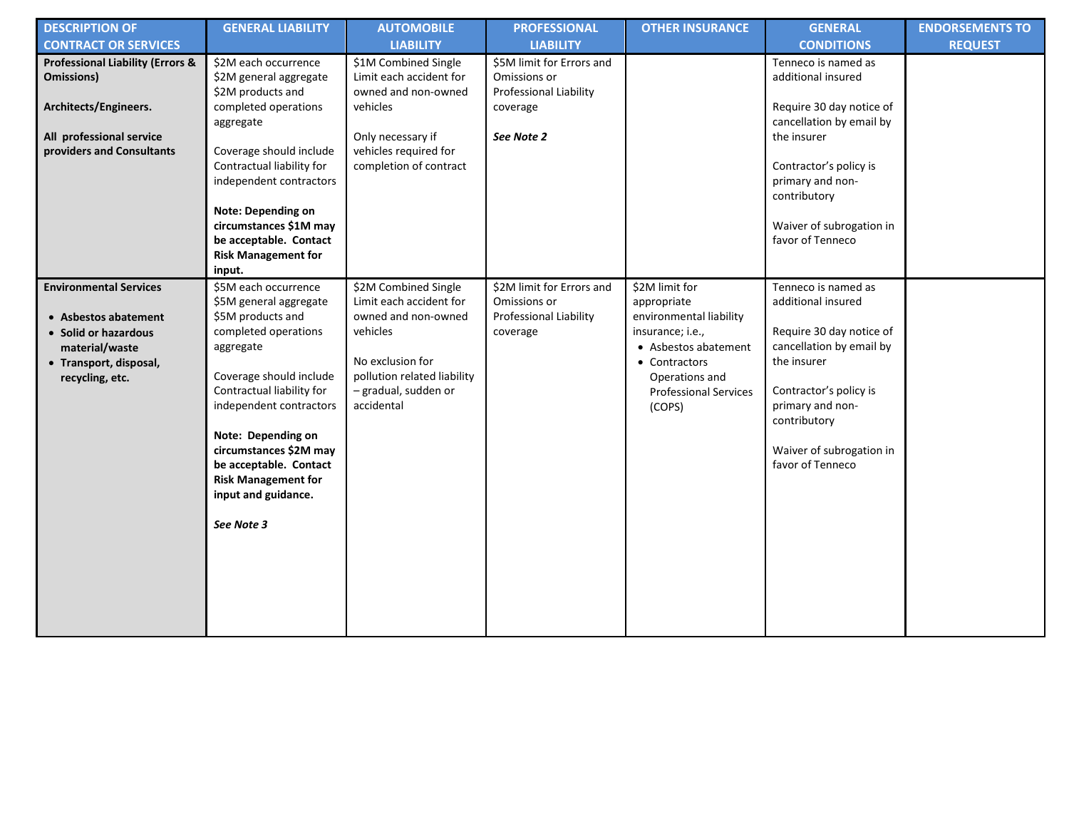| <b>DESCRIPTION OF</b><br><b>CONTRACT OR SERVICES</b>                                                                                         | <b>GENERAL LIABILITY</b>                                                                                                                                                                                                                                                                                                                 | <b>AUTOMOBILE</b><br><b>LIABILITY</b>                                                                                                                                       | <b>PROFESSIONAL</b><br><b>LIABILITY</b>                                                       | <b>OTHER INSURANCE</b>                                                                                                                                                            | <b>GENERAL</b><br><b>CONDITIONS</b>                                                                                                                                                                                            | <b>ENDORSEMENTS TO</b><br><b>REQUEST</b> |
|----------------------------------------------------------------------------------------------------------------------------------------------|------------------------------------------------------------------------------------------------------------------------------------------------------------------------------------------------------------------------------------------------------------------------------------------------------------------------------------------|-----------------------------------------------------------------------------------------------------------------------------------------------------------------------------|-----------------------------------------------------------------------------------------------|-----------------------------------------------------------------------------------------------------------------------------------------------------------------------------------|--------------------------------------------------------------------------------------------------------------------------------------------------------------------------------------------------------------------------------|------------------------------------------|
| <b>Professional Liability (Errors &amp;</b><br>Omissions)<br>Architects/Engineers.<br>All professional service<br>providers and Consultants  | \$2M each occurrence<br>\$2M general aggregate<br>\$2M products and<br>completed operations<br>aggregate<br>Coverage should include<br>Contractual liability for<br>independent contractors<br>Note: Depending on<br>circumstances \$1M may<br>be acceptable. Contact<br><b>Risk Management for</b><br>input.                            | \$1M Combined Single<br>Limit each accident for<br>owned and non-owned<br>vehicles<br>Only necessary if<br>vehicles required for<br>completion of contract                  | \$5M limit for Errors and<br>Omissions or<br>Professional Liability<br>coverage<br>See Note 2 |                                                                                                                                                                                   | Tenneco is named as<br>additional insured<br>Require 30 day notice of<br>cancellation by email by<br>the insurer<br>Contractor's policy is<br>primary and non-<br>contributory<br>Waiver of subrogation in<br>favor of Tenneco |                                          |
| <b>Environmental Services</b><br>• Asbestos abatement<br>• Solid or hazardous<br>material/waste<br>• Transport, disposal,<br>recycling, etc. | \$5M each occurrence<br>\$5M general aggregate<br>\$5M products and<br>completed operations<br>aggregate<br>Coverage should include<br>Contractual liability for<br>independent contractors<br>Note: Depending on<br>circumstances \$2M may<br>be acceptable. Contact<br><b>Risk Management for</b><br>input and guidance.<br>See Note 3 | \$2M Combined Single<br>Limit each accident for<br>owned and non-owned<br>vehicles<br>No exclusion for<br>pollution related liability<br>- gradual, sudden or<br>accidental | \$2M limit for Errors and<br>Omissions or<br>Professional Liability<br>coverage               | \$2M limit for<br>appropriate<br>environmental liability<br>insurance; i.e.,<br>• Asbestos abatement<br>• Contractors<br>Operations and<br><b>Professional Services</b><br>(COPS) | Tenneco is named as<br>additional insured<br>Require 30 day notice of<br>cancellation by email by<br>the insurer<br>Contractor's policy is<br>primary and non-<br>contributory<br>Waiver of subrogation in<br>favor of Tenneco |                                          |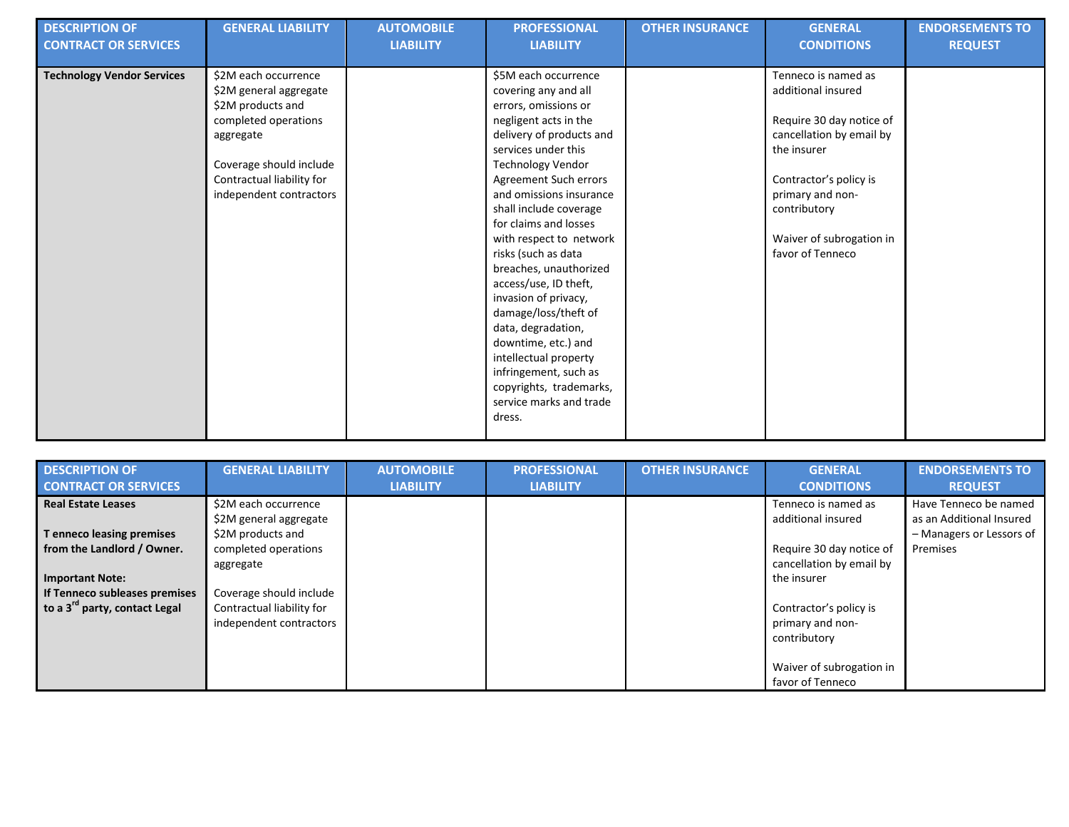| <b>DESCRIPTION OF</b>             | <b>GENERAL LIABILITY</b>  | <b>AUTOMOBILE</b> | <b>PROFESSIONAL</b>      | <b>OTHER INSURANCE</b> | <b>GENERAL</b>           | <b>ENDORSEMENTS TO</b> |
|-----------------------------------|---------------------------|-------------------|--------------------------|------------------------|--------------------------|------------------------|
| <b>CONTRACT OR SERVICES</b>       |                           | <b>LIABILITY</b>  | <b>LIABILITY</b>         |                        | <b>CONDITIONS</b>        | <b>REQUEST</b>         |
| <b>Technology Vendor Services</b> | \$2M each occurrence      |                   | \$5M each occurrence     |                        | Tenneco is named as      |                        |
|                                   | \$2M general aggregate    |                   | covering any and all     |                        | additional insured       |                        |
|                                   | \$2M products and         |                   | errors, omissions or     |                        |                          |                        |
|                                   | completed operations      |                   | negligent acts in the    |                        | Require 30 day notice of |                        |
|                                   | aggregate                 |                   | delivery of products and |                        | cancellation by email by |                        |
|                                   |                           |                   | services under this      |                        | the insurer              |                        |
|                                   | Coverage should include   |                   | <b>Technology Vendor</b> |                        |                          |                        |
|                                   | Contractual liability for |                   | Agreement Such errors    |                        | Contractor's policy is   |                        |
|                                   | independent contractors   |                   | and omissions insurance  |                        | primary and non-         |                        |
|                                   |                           |                   | shall include coverage   |                        | contributory             |                        |
|                                   |                           |                   | for claims and losses    |                        |                          |                        |
|                                   |                           |                   | with respect to network  |                        | Waiver of subrogation in |                        |
|                                   |                           |                   | risks (such as data      |                        | favor of Tenneco         |                        |
|                                   |                           |                   | breaches, unauthorized   |                        |                          |                        |
|                                   |                           |                   | access/use, ID theft,    |                        |                          |                        |
|                                   |                           |                   | invasion of privacy,     |                        |                          |                        |
|                                   |                           |                   | damage/loss/theft of     |                        |                          |                        |
|                                   |                           |                   | data, degradation,       |                        |                          |                        |
|                                   |                           |                   | downtime, etc.) and      |                        |                          |                        |
|                                   |                           |                   | intellectual property    |                        |                          |                        |
|                                   |                           |                   | infringement, such as    |                        |                          |                        |
|                                   |                           |                   | copyrights, trademarks,  |                        |                          |                        |
|                                   |                           |                   | service marks and trade  |                        |                          |                        |
|                                   |                           |                   | dress.                   |                        |                          |                        |
|                                   |                           |                   |                          |                        |                          |                        |

| <b>DESCRIPTION OF</b>                     | <b>GENERAL LIABILITY</b>  | <b>AUTOMOBILE</b> | <b>PROFESSIONAL</b> | <b>OTHER INSURANCE</b> | <b>GENERAL</b>           | <b>ENDORSEMENTS TO</b>   |
|-------------------------------------------|---------------------------|-------------------|---------------------|------------------------|--------------------------|--------------------------|
| <b>CONTRACT OR SERVICES</b>               |                           | <b>LIABILITY</b>  | <b>LIABILITY</b>    |                        | <b>CONDITIONS</b>        | <b>REQUEST</b>           |
| <b>Real Estate Leases</b>                 | \$2M each occurrence      |                   |                     |                        | Tenneco is named as      | Have Tenneco be named    |
|                                           | \$2M general aggregate    |                   |                     |                        | additional insured       | as an Additional Insured |
| T enneco leasing premises                 | \$2M products and         |                   |                     |                        |                          | - Managers or Lessors of |
| from the Landlord / Owner.                | completed operations      |                   |                     |                        | Require 30 day notice of | Premises                 |
|                                           | aggregate                 |                   |                     |                        | cancellation by email by |                          |
| <b>Important Note:</b>                    |                           |                   |                     |                        | the insurer              |                          |
| If Tenneco subleases premises             | Coverage should include   |                   |                     |                        |                          |                          |
| to a 3 <sup>rd</sup> party, contact Legal | Contractual liability for |                   |                     |                        | Contractor's policy is   |                          |
|                                           | independent contractors   |                   |                     |                        | primary and non-         |                          |
|                                           |                           |                   |                     |                        | contributory             |                          |
|                                           |                           |                   |                     |                        |                          |                          |
|                                           |                           |                   |                     |                        | Waiver of subrogation in |                          |
|                                           |                           |                   |                     |                        | favor of Tenneco         |                          |